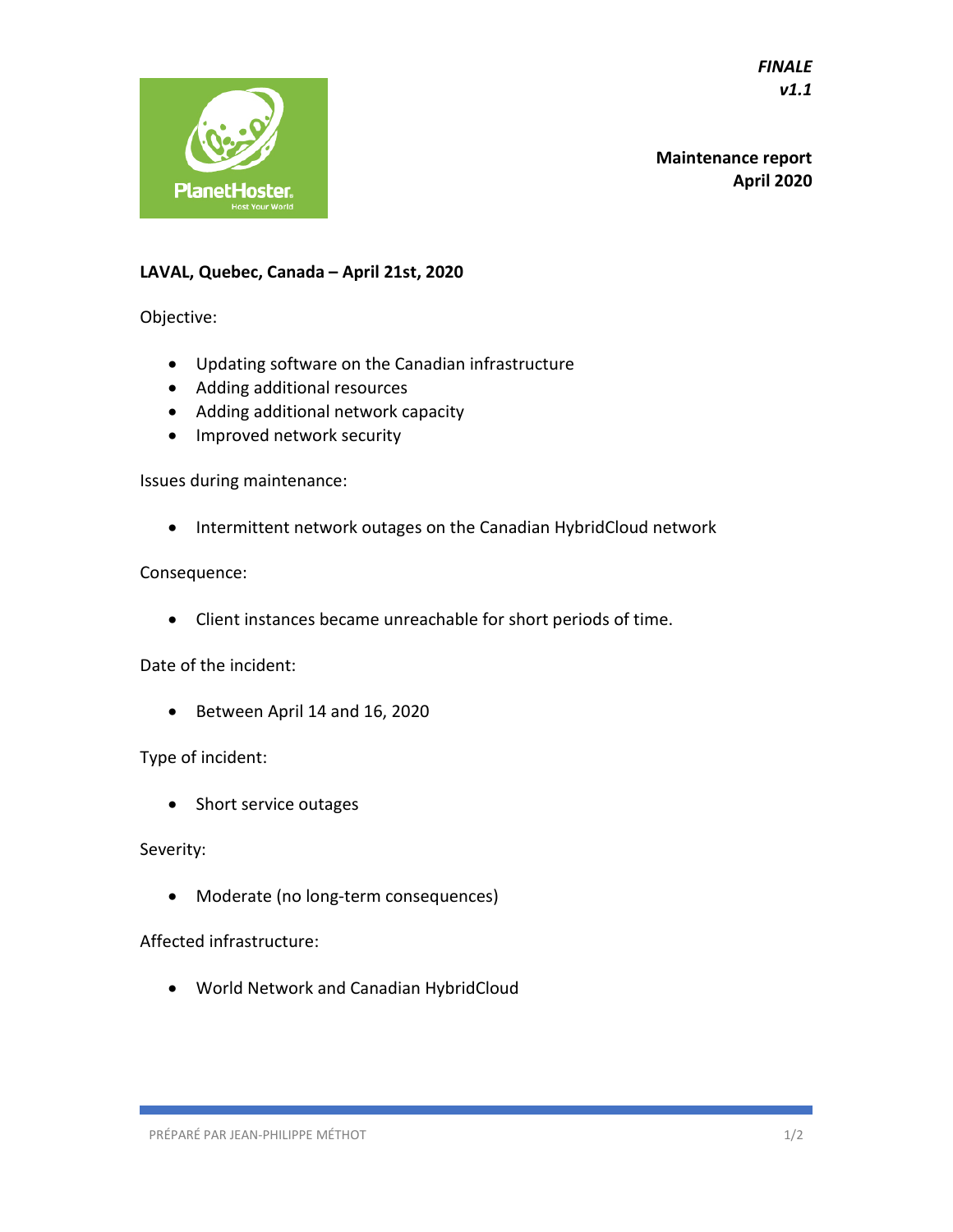*FINALE v1.1* 



**Maintenance report April 2020**

## **LAVAL, Quebec, Canada – April 21st, 2020**

Objective:

- Updating software on the Canadian infrastructure
- Adding additional resources
- Adding additional network capacity
- Improved network security

Issues during maintenance:

• Intermittent network outages on the Canadian HybridCloud network

## Consequence:

• Client instances became unreachable for short periods of time.

Date of the incident:

• Between April 14 and 16, 2020

Type of incident:

• Short service outages

Severity:

• Moderate (no long-term consequences)

## Affected infrastructure:

• World Network and Canadian HybridCloud